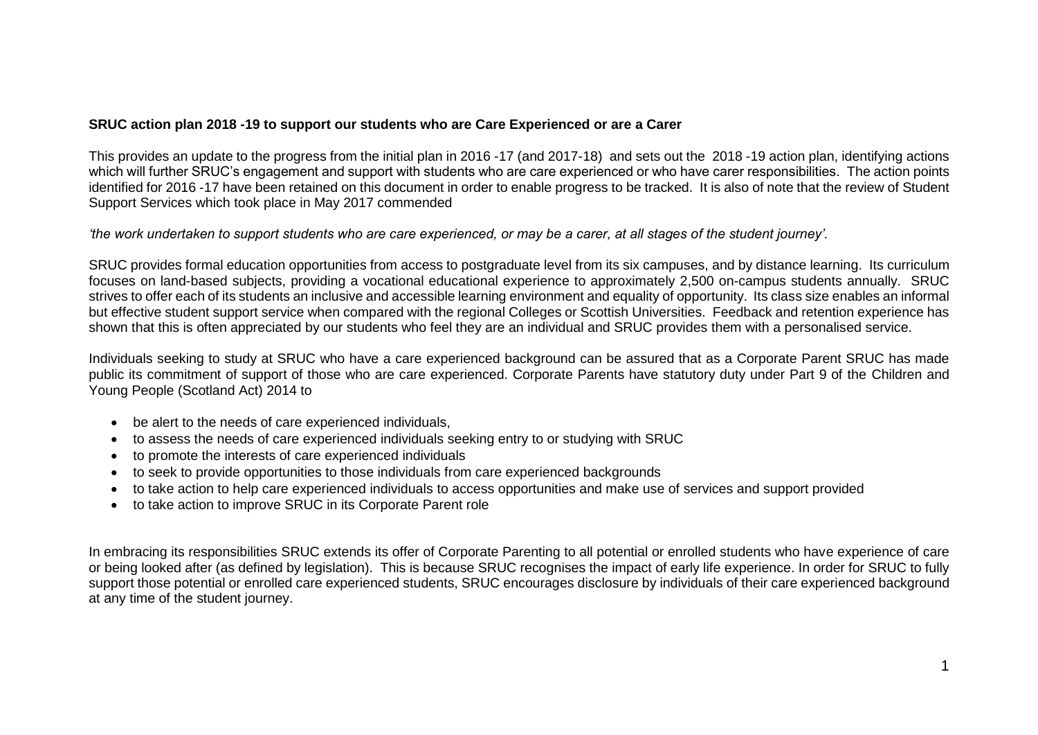## **SRUC action plan 2018 -19 to support our students who are Care Experienced or are a Carer**

This provides an update to the progress from the initial plan in 2016 -17 (and 2017-18) and sets out the 2018 -19 action plan, identifying actions which will further SRUC's engagement and support with students who are care experienced or who have carer responsibilities. The action points identified for 2016 -17 have been retained on this document in order to enable progress to be tracked. It is also of note that the review of Student Support Services which took place in May 2017 commended

*'the work undertaken to support students who are care experienced, or may be a carer, at all stages of the student journey'.*

SRUC provides formal education opportunities from access to postgraduate level from its six campuses, and by distance learning. Its curriculum focuses on land-based subjects, providing a vocational educational experience to approximately 2,500 on-campus students annually. SRUC strives to offer each of its students an inclusive and accessible learning environment and equality of opportunity. Its class size enables an informal but effective student support service when compared with the regional Colleges or Scottish Universities. Feedback and retention experience has shown that this is often appreciated by our students who feel they are an individual and SRUC provides them with a personalised service.

Individuals seeking to study at SRUC who have a care experienced background can be assured that as a Corporate Parent SRUC has made public its commitment of support of those who are care experienced. Corporate Parents have statutory duty under Part 9 of the Children and Young People (Scotland Act) 2014 to

- be alert to the needs of care experienced individuals,
- to assess the needs of care experienced individuals seeking entry to or studying with SRUC
- to promote the interests of care experienced individuals
- to seek to provide opportunities to those individuals from care experienced backgrounds
- to take action to help care experienced individuals to access opportunities and make use of services and support provided
- to take action to improve SRUC in its Corporate Parent role

In embracing its responsibilities SRUC extends its offer of Corporate Parenting to all potential or enrolled students who have experience of care or being looked after (as defined by legislation). This is because SRUC recognises the impact of early life experience. In order for SRUC to fully support those potential or enrolled care experienced students, SRUC encourages disclosure by individuals of their care experienced background at any time of the student journey.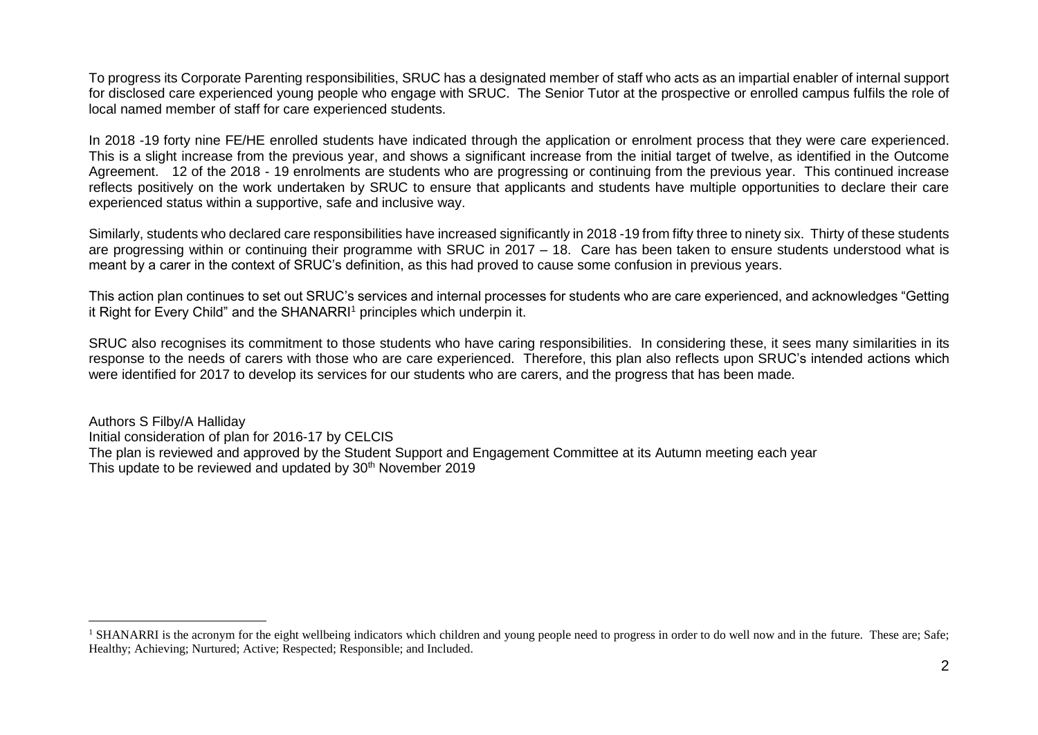To progress its Corporate Parenting responsibilities, SRUC has a designated member of staff who acts as an impartial enabler of internal support for disclosed care experienced young people who engage with SRUC. The Senior Tutor at the prospective or enrolled campus fulfils the role of local named member of staff for care experienced students.

In 2018 -19 forty nine FE/HE enrolled students have indicated through the application or enrolment process that they were care experienced. This is a slight increase from the previous year, and shows a significant increase from the initial target of twelve, as identified in the Outcome Agreement. 12 of the 2018 - 19 enrolments are students who are progressing or continuing from the previous year. This continued increase reflects positively on the work undertaken by SRUC to ensure that applicants and students have multiple opportunities to declare their care experienced status within a supportive, safe and inclusive way.

Similarly, students who declared care responsibilities have increased significantly in 2018 -19 from fifty three to ninety six. Thirty of these students are progressing within or continuing their programme with SRUC in 2017 – 18. Care has been taken to ensure students understood what is meant by a carer in the context of SRUC's definition, as this had proved to cause some confusion in previous years.

This action plan continues to set out SRUC's services and internal processes for students who are care experienced, and acknowledges "Getting it Right for Every Child" and the SHANARRI<sup>1</sup> principles which underpin it.

SRUC also recognises its commitment to those students who have caring responsibilities. In considering these, it sees many similarities in its response to the needs of carers with those who are care experienced. Therefore, this plan also reflects upon SRUC's intended actions which were identified for 2017 to develop its services for our students who are carers, and the progress that has been made.

Authors S Filby/A Halliday Initial consideration of plan for 2016-17 by CELCIS The plan is reviewed and approved by the Student Support and Engagement Committee at its Autumn meeting each year This update to be reviewed and updated by 30<sup>th</sup> November 2019

 $\overline{a}$ 

<sup>&</sup>lt;sup>1</sup> SHANARRI is the acronym for the eight wellbeing indicators which children and young people need to progress in order to do well now and in the future. These are: Safe: Healthy; Achieving; Nurtured; Active; Respected; Responsible; and Included.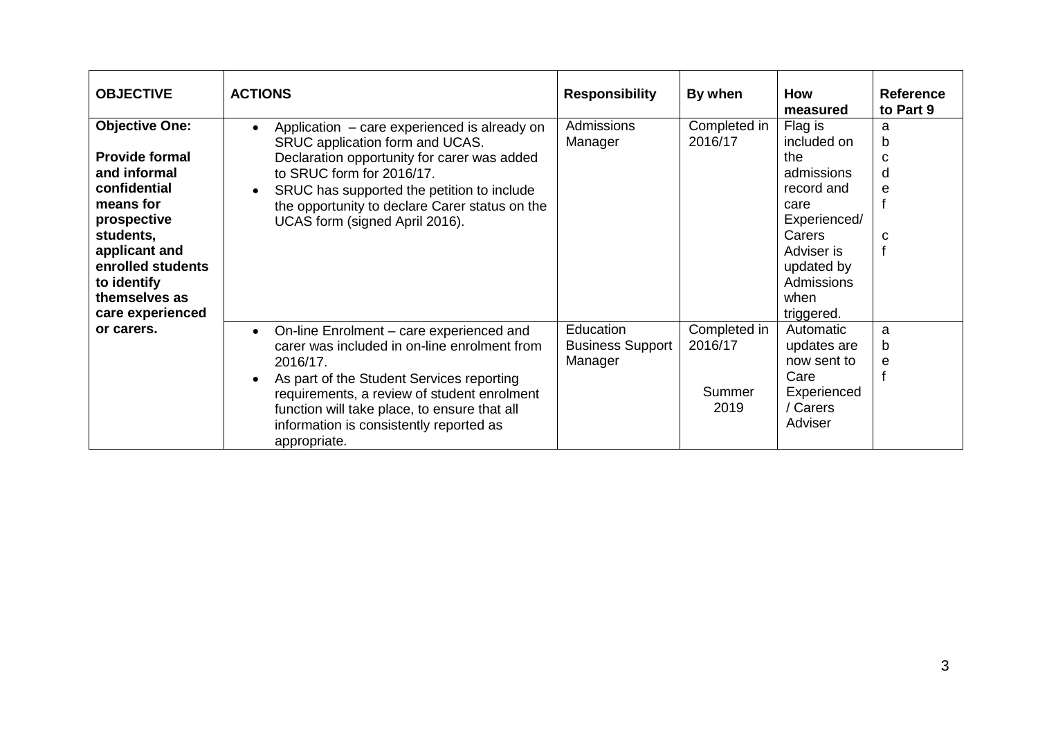| <b>OBJECTIVE</b>      | <b>ACTIONS</b>                                            | <b>Responsibility</b>   | By when      | How<br>measured | <b>Reference</b><br>to Part 9 |
|-----------------------|-----------------------------------------------------------|-------------------------|--------------|-----------------|-------------------------------|
| <b>Objective One:</b> | Application - care experienced is already on<br>$\bullet$ | Admissions              | Completed in | Flag is         | a                             |
|                       | SRUC application form and UCAS.                           | Manager                 | 2016/17      | included on     | b                             |
| <b>Provide formal</b> | Declaration opportunity for carer was added               |                         |              | the             | C                             |
| and informal          | to SRUC form for 2016/17.                                 |                         |              | admissions      | d                             |
| confidential          | SRUC has supported the petition to include<br>$\bullet$   |                         |              | record and      | e                             |
| means for             | the opportunity to declare Carer status on the            |                         |              | care            |                               |
| prospective           | UCAS form (signed April 2016).                            |                         |              | Experienced/    |                               |
| students,             |                                                           |                         |              | Carers          | C                             |
| applicant and         |                                                           |                         |              | Adviser is      | f                             |
| enrolled students     |                                                           |                         |              | updated by      |                               |
| to identify           |                                                           |                         |              | Admissions      |                               |
| themselves as         |                                                           |                         |              | when            |                               |
| care experienced      |                                                           |                         |              | triggered.      |                               |
| or carers.            | On-line Enrolment – care experienced and<br>$\bullet$     | Education               | Completed in | Automatic       | a                             |
|                       | carer was included in on-line enrolment from              | <b>Business Support</b> | 2016/17      | updates are     | b                             |
|                       | 2016/17.                                                  | Manager                 |              | now sent to     | e                             |
|                       | As part of the Student Services reporting<br>$\bullet$    |                         |              | Care            | $\mathbf{f}$                  |
|                       | requirements, a review of student enrolment               |                         | Summer       | Experienced     |                               |
|                       | function will take place, to ensure that all              |                         | 2019         | / Carers        |                               |
|                       | information is consistently reported as<br>appropriate.   |                         |              | Adviser         |                               |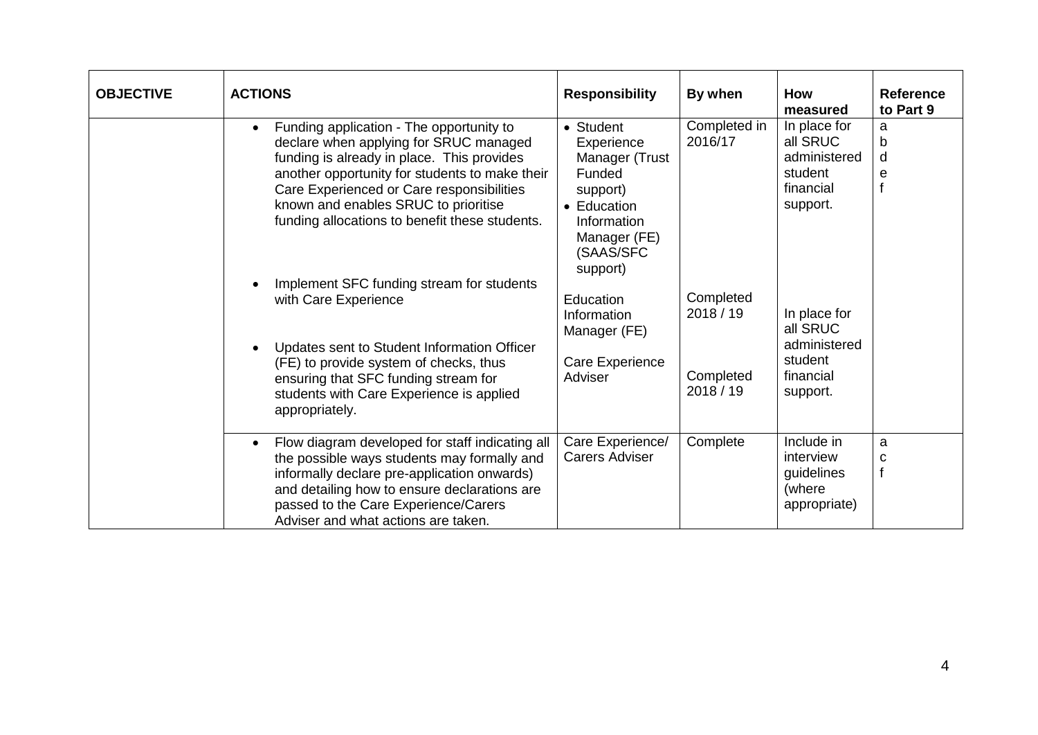| <b>OBJECTIVE</b> | <b>ACTIONS</b>                                                                                                                                                                                                                                                                                                                                                                                                                                                                                                                               | <b>Responsibility</b>                                                                                                                                                                                            | By when                                                      | How<br>measured                                                                                                                                  | <b>Reference</b><br>to Part 9 |
|------------------|----------------------------------------------------------------------------------------------------------------------------------------------------------------------------------------------------------------------------------------------------------------------------------------------------------------------------------------------------------------------------------------------------------------------------------------------------------------------------------------------------------------------------------------------|------------------------------------------------------------------------------------------------------------------------------------------------------------------------------------------------------------------|--------------------------------------------------------------|--------------------------------------------------------------------------------------------------------------------------------------------------|-------------------------------|
|                  | Funding application - The opportunity to<br>$\bullet$<br>declare when applying for SRUC managed<br>funding is already in place. This provides<br>another opportunity for students to make their<br>Care Experienced or Care responsibilities<br>known and enables SRUC to prioritise<br>funding allocations to benefit these students.<br>Implement SFC funding stream for students<br>with Care Experience<br>Updates sent to Student Information Officer<br>(FE) to provide system of checks, thus<br>ensuring that SFC funding stream for | • Student<br>Experience<br>Manager (Trust<br>Funded<br>support)<br>• Education<br>Information<br>Manager (FE)<br>(SAAS/SFC<br>support)<br>Education<br>Information<br>Manager (FE)<br>Care Experience<br>Adviser | Completed in<br>2016/17<br>Completed<br>2018/19<br>Completed | In place for<br>all SRUC<br>administered<br>student<br>financial<br>support.<br>In place for<br>all SRUC<br>administered<br>student<br>financial | a<br>b<br>d<br>e              |
|                  | students with Care Experience is applied<br>appropriately.<br>Flow diagram developed for staff indicating all<br>$\bullet$                                                                                                                                                                                                                                                                                                                                                                                                                   | Care Experience/                                                                                                                                                                                                 | 2018 / 19<br>Complete                                        | support.<br>Include in                                                                                                                           | a                             |
|                  | the possible ways students may formally and<br>informally declare pre-application onwards)<br>and detailing how to ensure declarations are<br>passed to the Care Experience/Carers<br>Adviser and what actions are taken.                                                                                                                                                                                                                                                                                                                    | <b>Carers Adviser</b>                                                                                                                                                                                            |                                                              | interview<br>guidelines<br>(where<br>appropriate)                                                                                                | с<br>$\mathbf{f}$             |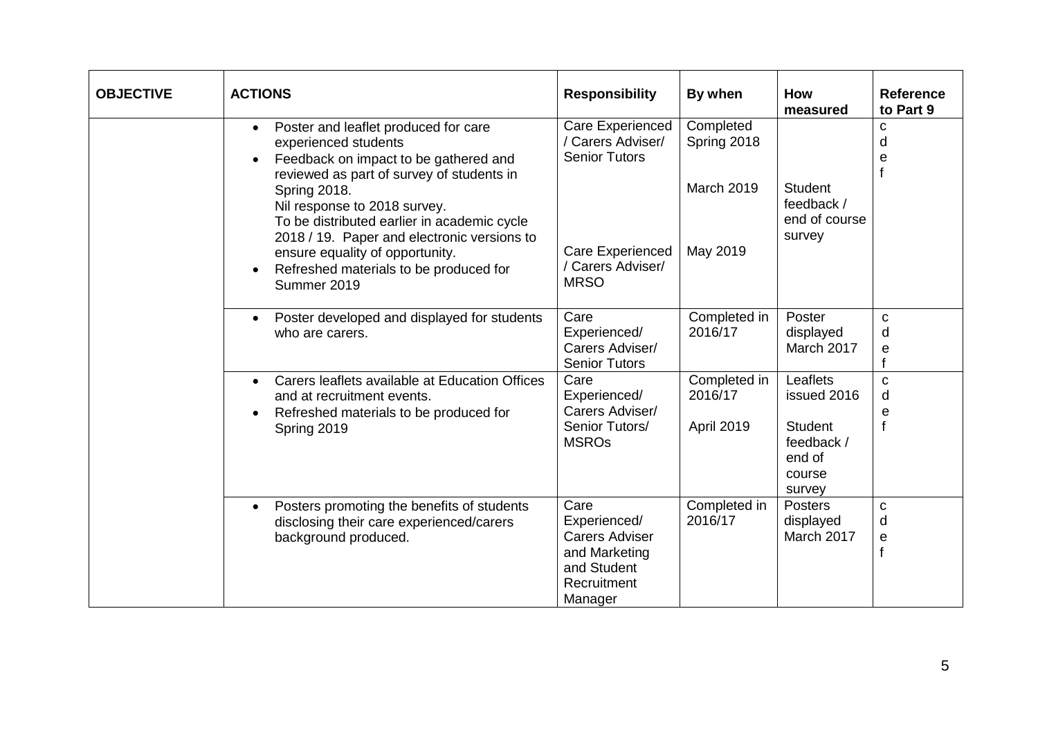| <b>OBJECTIVE</b> | <b>ACTIONS</b>                                                                                                                                                                                                                                                                                                                                                                                                   | <b>Responsibility</b>                                                                                                        | By when                                                   | How<br>measured                                                                       | <b>Reference</b><br>to Part 9                  |
|------------------|------------------------------------------------------------------------------------------------------------------------------------------------------------------------------------------------------------------------------------------------------------------------------------------------------------------------------------------------------------------------------------------------------------------|------------------------------------------------------------------------------------------------------------------------------|-----------------------------------------------------------|---------------------------------------------------------------------------------------|------------------------------------------------|
|                  | Poster and leaflet produced for care<br>$\bullet$<br>experienced students<br>Feedback on impact to be gathered and<br>reviewed as part of survey of students in<br><b>Spring 2018.</b><br>Nil response to 2018 survey.<br>To be distributed earlier in academic cycle<br>2018 / 19. Paper and electronic versions to<br>ensure equality of opportunity.<br>Refreshed materials to be produced for<br>Summer 2019 | Care Experienced<br>/ Carers Adviser/<br><b>Senior Tutors</b><br><b>Care Experienced</b><br>/ Carers Adviser/<br><b>MRSO</b> | Completed<br>Spring 2018<br><b>March 2019</b><br>May 2019 | <b>Student</b><br>feedback /<br>end of course<br>survey                               | $\mathbf c$<br>d<br>e<br>$\mathbf f$           |
|                  | Poster developed and displayed for students<br>$\bullet$<br>who are carers.                                                                                                                                                                                                                                                                                                                                      | Care<br>Experienced/<br>Carers Adviser/<br><b>Senior Tutors</b>                                                              | Completed in<br>2016/17                                   | Poster<br>displayed<br>March 2017                                                     | $\mathbf{C}$<br>d<br>e<br>f                    |
|                  | Carers leaflets available at Education Offices<br>$\bullet$<br>and at recruitment events.<br>Refreshed materials to be produced for<br>Spring 2019                                                                                                                                                                                                                                                               | Care<br>Experienced/<br>Carers Adviser/<br>Senior Tutors/<br><b>MSROs</b>                                                    | Completed in<br>2016/17<br>April 2019                     | Leaflets<br>issued 2016<br><b>Student</b><br>feedback /<br>end of<br>course<br>survey | $\mathbf{C}$<br>d<br>e<br>$\mathsf{f}$         |
|                  | Posters promoting the benefits of students<br>$\bullet$<br>disclosing their care experienced/carers<br>background produced.                                                                                                                                                                                                                                                                                      | Care<br>Experienced/<br><b>Carers Adviser</b><br>and Marketing<br>and Student<br>Recruitment<br>Manager                      | Completed in<br>2016/17                                   | <b>Posters</b><br>displayed<br>March 2017                                             | $\mathbf C$<br>d<br>$\mathbf e$<br>$\mathbf f$ |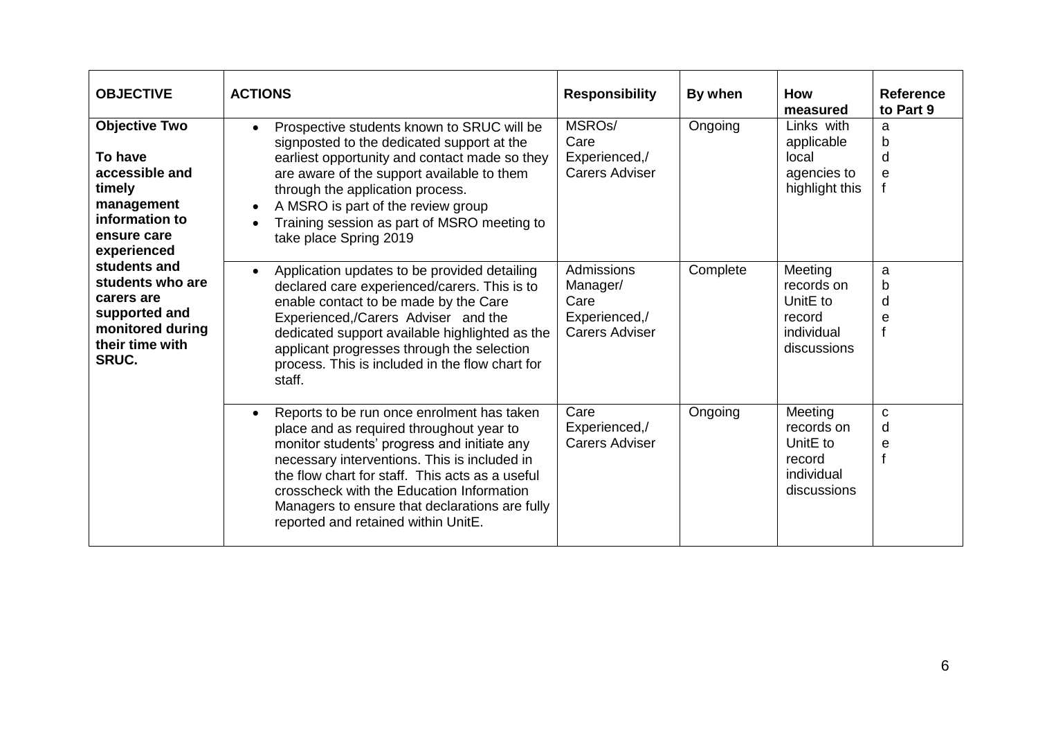| <b>OBJECTIVE</b>                                                                                                                                                                                                                             | <b>ACTIONS</b>                                                                                                                                                                                                                                                                                                                                                                              | <b>Responsibility</b>                                                    | By when  | <b>How</b><br>measured                                                               | <b>Reference</b><br>to Part 9 |
|----------------------------------------------------------------------------------------------------------------------------------------------------------------------------------------------------------------------------------------------|---------------------------------------------------------------------------------------------------------------------------------------------------------------------------------------------------------------------------------------------------------------------------------------------------------------------------------------------------------------------------------------------|--------------------------------------------------------------------------|----------|--------------------------------------------------------------------------------------|-------------------------------|
| <b>Objective Two</b><br>To have<br>accessible and<br>timely<br>management<br>information to<br>ensure care<br>experienced<br>students and<br>students who are<br>carers are<br>supported and<br>monitored during<br>their time with<br>SRUC. | Prospective students known to SRUC will be<br>$\bullet$<br>signposted to the dedicated support at the<br>earliest opportunity and contact made so they<br>are aware of the support available to them<br>through the application process.<br>A MSRO is part of the review group<br>$\bullet$<br>Training session as part of MSRO meeting to<br>take place Spring 2019                        | MSRO <sub>s</sub> /<br>Care<br>Experienced,/<br><b>Carers Adviser</b>    | Ongoing  | Links with<br>applicable<br>local<br>agencies to<br>highlight this                   | a<br>b<br>d<br>e              |
|                                                                                                                                                                                                                                              | Application updates to be provided detailing<br>$\bullet$<br>declared care experienced/carers. This is to<br>enable contact to be made by the Care<br>Experienced,/Carers Adviser and the<br>dedicated support available highlighted as the<br>applicant progresses through the selection<br>process. This is included in the flow chart for<br>staff.                                      | Admissions<br>Manager/<br>Care<br>Experienced,/<br><b>Carers Adviser</b> | Complete | Meeting<br>records on<br>UnitE to<br>record<br>individual<br>discussions             | a<br>b<br>d<br>e              |
|                                                                                                                                                                                                                                              | Reports to be run once enrolment has taken<br>$\bullet$<br>place and as required throughout year to<br>monitor students' progress and initiate any<br>necessary interventions. This is included in<br>the flow chart for staff. This acts as a useful<br>crosscheck with the Education Information<br>Managers to ensure that declarations are fully<br>reported and retained within UnitE. | Care<br>Experienced,/<br><b>Carers Adviser</b>                           | Ongoing  | Meeting<br>records on<br>Unit <sub>E</sub> to<br>record<br>individual<br>discussions | C<br>d<br>е                   |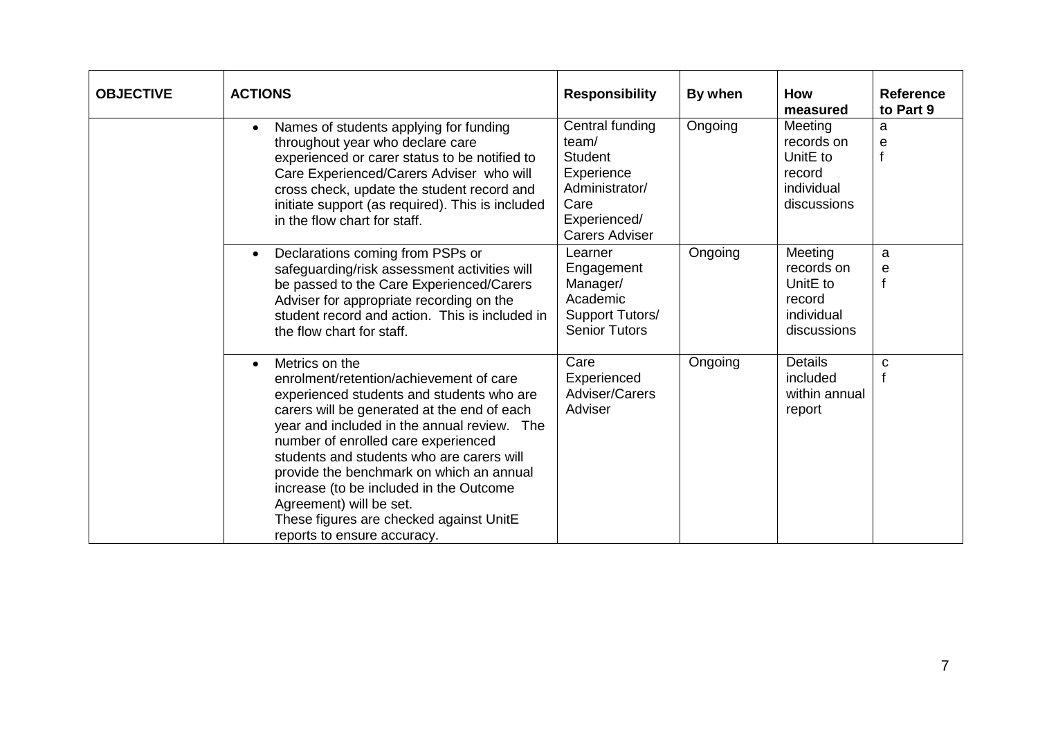| <b>OBJECTIVE</b> | <b>ACTIONS</b>                                                                                                                                                                                                                                                                                                                                                                                                                                                                                    | <b>Responsibility</b>                                                                                                | By when | <b>How</b><br>measured                                                   | <b>Reference</b><br>to Part 9 |
|------------------|---------------------------------------------------------------------------------------------------------------------------------------------------------------------------------------------------------------------------------------------------------------------------------------------------------------------------------------------------------------------------------------------------------------------------------------------------------------------------------------------------|----------------------------------------------------------------------------------------------------------------------|---------|--------------------------------------------------------------------------|-------------------------------|
|                  | Names of students applying for funding<br>$\bullet$<br>throughout year who declare care<br>experienced or carer status to be notified to<br>Care Experienced/Carers Adviser who will<br>cross check, update the student record and<br>initiate support (as required). This is included<br>in the flow chart for staff.                                                                                                                                                                            | Central funding<br>team/<br>Student<br>Experience<br>Administrator/<br>Care<br>Experienced/<br><b>Carers Adviser</b> | Ongoing | Meeting<br>records on<br>UnitE to<br>record<br>individual<br>discussions | a<br>e                        |
|                  | Declarations coming from PSPs or<br>$\bullet$<br>safeguarding/risk assessment activities will<br>be passed to the Care Experienced/Carers<br>Adviser for appropriate recording on the<br>student record and action. This is included in<br>the flow chart for staff.                                                                                                                                                                                                                              | Learner<br>Engagement<br>Manager/<br>Academic<br>Support Tutors/<br><b>Senior Tutors</b>                             | Ongoing | Meeting<br>records on<br>UnitE to<br>record<br>individual<br>discussions | a<br>е<br>$\mathsf{f}$        |
|                  | Metrics on the<br>$\bullet$<br>enrolment/retention/achievement of care<br>experienced students and students who are<br>carers will be generated at the end of each<br>year and included in the annual review. The<br>number of enrolled care experienced<br>students and students who are carers will<br>provide the benchmark on which an annual<br>increase (to be included in the Outcome<br>Agreement) will be set.<br>These figures are checked against UnitE<br>reports to ensure accuracy. | Care<br>Experienced<br>Adviser/Carers<br>Adviser                                                                     | Ongoing | <b>Details</b><br>included<br>within annual<br>report                    | $\mathbf{C}$                  |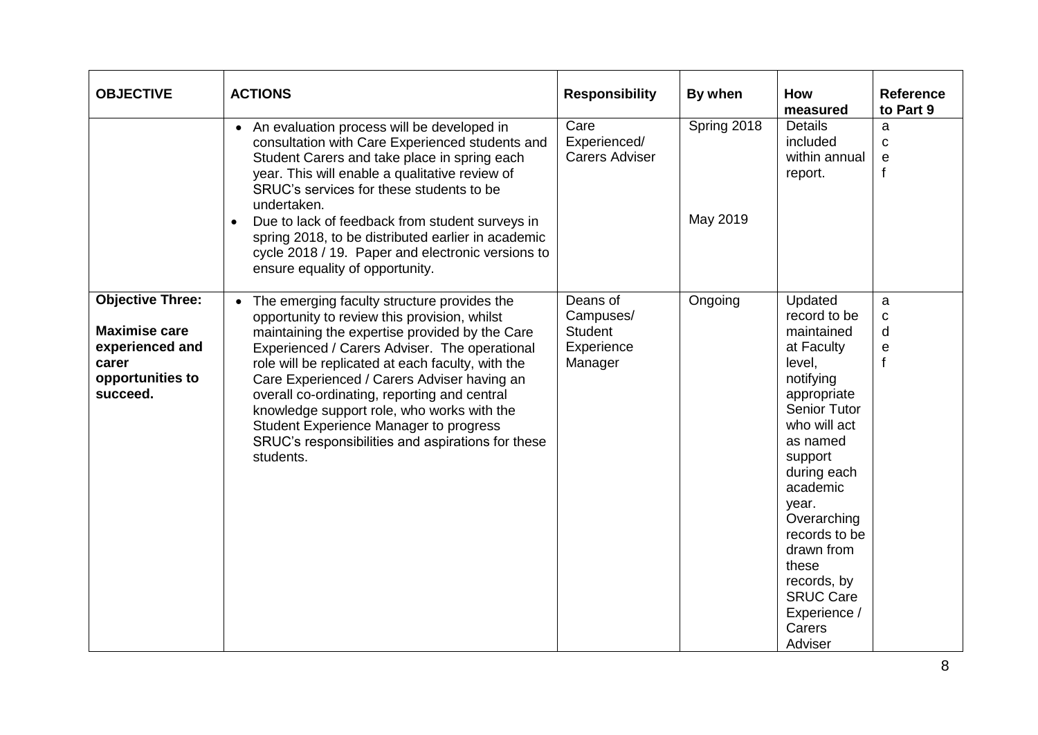| <b>OBJECTIVE</b>                                                                                            | <b>ACTIONS</b>                                                                                                                                                                                                                                                                                                                                                                                                                                                                                                 | <b>Responsibility</b>                                            | By when                 | <b>How</b><br>measured                                                                                                                                                                                                                                                                                                     | <b>Reference</b><br>to Part 9                                                 |
|-------------------------------------------------------------------------------------------------------------|----------------------------------------------------------------------------------------------------------------------------------------------------------------------------------------------------------------------------------------------------------------------------------------------------------------------------------------------------------------------------------------------------------------------------------------------------------------------------------------------------------------|------------------------------------------------------------------|-------------------------|----------------------------------------------------------------------------------------------------------------------------------------------------------------------------------------------------------------------------------------------------------------------------------------------------------------------------|-------------------------------------------------------------------------------|
|                                                                                                             | • An evaluation process will be developed in<br>consultation with Care Experienced students and<br>Student Carers and take place in spring each<br>year. This will enable a qualitative review of<br>SRUC's services for these students to be<br>undertaken.<br>Due to lack of feedback from student surveys in<br>$\bullet$<br>spring 2018, to be distributed earlier in academic<br>cycle 2018 / 19. Paper and electronic versions to<br>ensure equality of opportunity.                                     | Care<br>Experienced/<br><b>Carers Adviser</b>                    | Spring 2018<br>May 2019 | <b>Details</b><br>included<br>within annual<br>report.                                                                                                                                                                                                                                                                     | a<br>C<br>е<br>$\mathbf{f}$                                                   |
| <b>Objective Three:</b><br><b>Maximise care</b><br>experienced and<br>carer<br>opportunities to<br>succeed. | • The emerging faculty structure provides the<br>opportunity to review this provision, whilst<br>maintaining the expertise provided by the Care<br>Experienced / Carers Adviser. The operational<br>role will be replicated at each faculty, with the<br>Care Experienced / Carers Adviser having an<br>overall co-ordinating, reporting and central<br>knowledge support role, who works with the<br>Student Experience Manager to progress<br>SRUC's responsibilities and aspirations for these<br>students. | Deans of<br>Campuses/<br><b>Student</b><br>Experience<br>Manager | Ongoing                 | Updated<br>record to be<br>maintained<br>at Faculty<br>level,<br>notifying<br>appropriate<br><b>Senior Tutor</b><br>who will act<br>as named<br>support<br>during each<br>academic<br>year.<br>Overarching<br>records to be<br>drawn from<br>these<br>records, by<br><b>SRUC Care</b><br>Experience /<br>Carers<br>Adviser | $\mathbf{a}$<br>$\mathbf C$<br>d<br>$\boldsymbol{\mathsf{e}}$<br>$\mathsf{f}$ |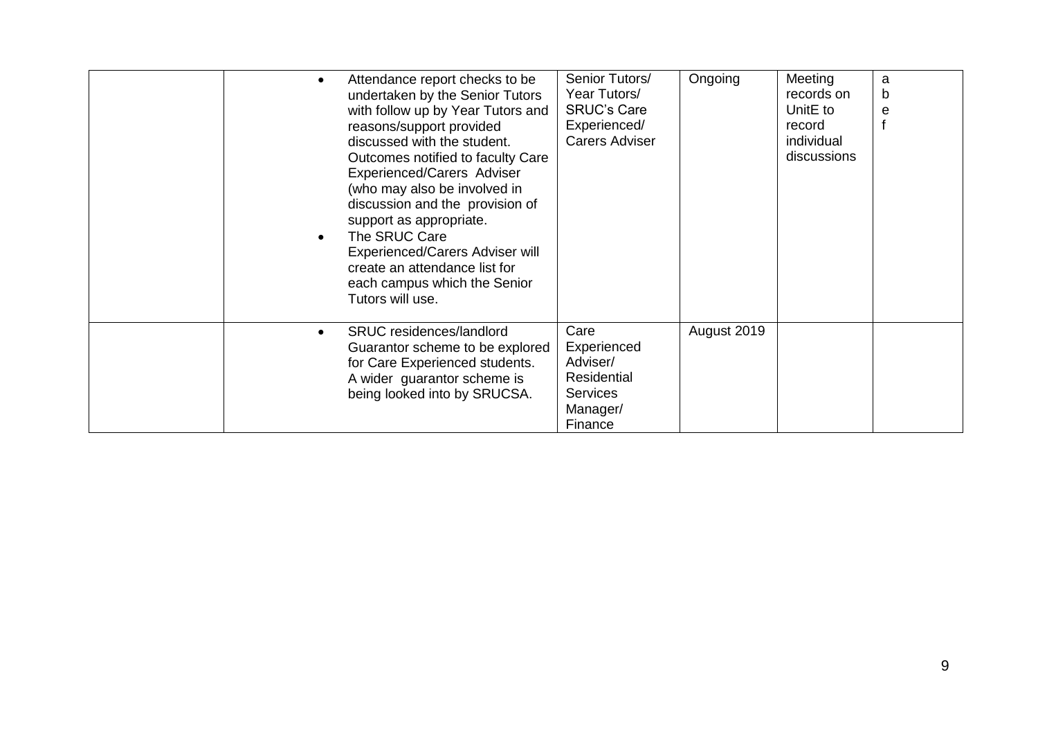|  | Attendance report checks to be<br>undertaken by the Senior Tutors<br>with follow up by Year Tutors and<br>reasons/support provided<br>discussed with the student.<br>Outcomes notified to faculty Care<br>Experienced/Carers Adviser<br>(who may also be involved in<br>discussion and the provision of<br>support as appropriate.<br>The SRUC Care<br>Experienced/Carers Adviser will<br>create an attendance list for<br>each campus which the Senior<br>Tutors will use. | Senior Tutors/<br>Year Tutors/<br><b>SRUC's Care</b><br>Experienced/<br><b>Carers Adviser</b> | Ongoing     | Meeting<br>records on<br>Unit <sub>E</sub> to<br>record<br>individual<br>discussions | a<br>b<br>e |
|--|-----------------------------------------------------------------------------------------------------------------------------------------------------------------------------------------------------------------------------------------------------------------------------------------------------------------------------------------------------------------------------------------------------------------------------------------------------------------------------|-----------------------------------------------------------------------------------------------|-------------|--------------------------------------------------------------------------------------|-------------|
|  | SRUC residences/landlord<br>Guarantor scheme to be explored<br>for Care Experienced students.<br>A wider guarantor scheme is<br>being looked into by SRUCSA.                                                                                                                                                                                                                                                                                                                | Care<br>Experienced<br>Adviser/<br>Residential<br><b>Services</b><br>Manager/<br>Finance      | August 2019 |                                                                                      |             |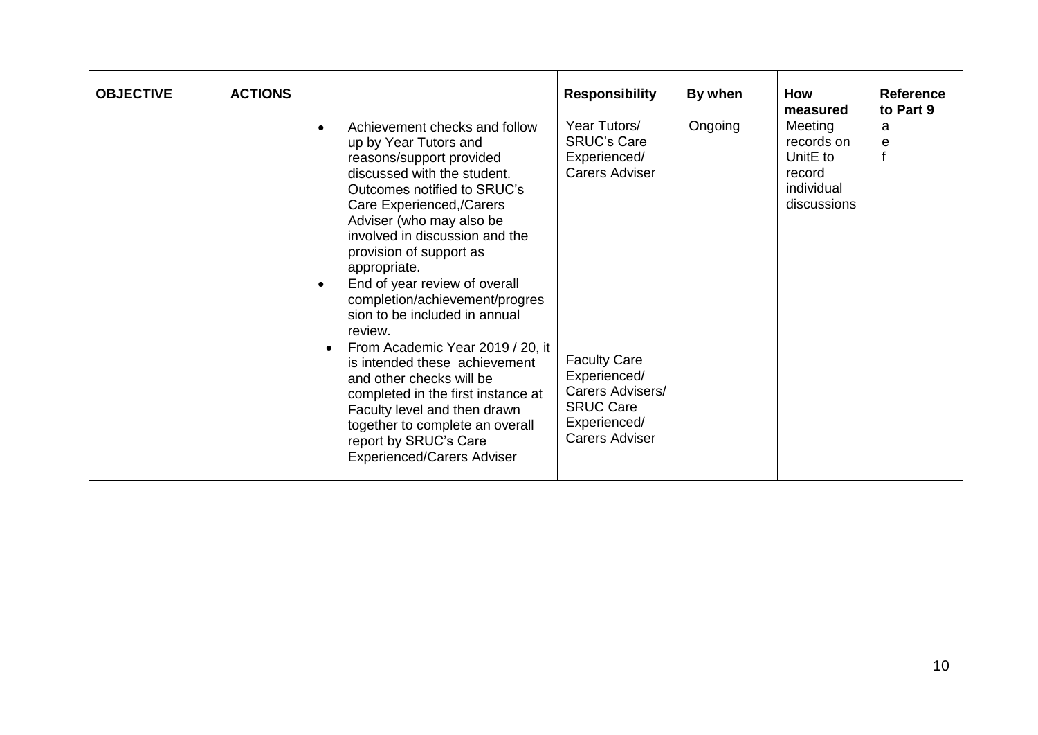| <b>OBJECTIVE</b> | <b>ACTIONS</b>                                                                                                                                                                                                                                                                                                                                                                                                                                                                                                                                                                                                                                                                            | <b>Responsibility</b>                                                                                                                                                                               | By when | <b>How</b><br>measured                                                   | <b>Reference</b><br>to Part 9 |
|------------------|-------------------------------------------------------------------------------------------------------------------------------------------------------------------------------------------------------------------------------------------------------------------------------------------------------------------------------------------------------------------------------------------------------------------------------------------------------------------------------------------------------------------------------------------------------------------------------------------------------------------------------------------------------------------------------------------|-----------------------------------------------------------------------------------------------------------------------------------------------------------------------------------------------------|---------|--------------------------------------------------------------------------|-------------------------------|
|                  | Achievement checks and follow<br>$\bullet$<br>up by Year Tutors and<br>reasons/support provided<br>discussed with the student.<br>Outcomes notified to SRUC's<br>Care Experienced,/Carers<br>Adviser (who may also be<br>involved in discussion and the<br>provision of support as<br>appropriate.<br>End of year review of overall<br>completion/achievement/progres<br>sion to be included in annual<br>review.<br>From Academic Year 2019 / 20, it<br>is intended these achievement<br>and other checks will be<br>completed in the first instance at<br>Faculty level and then drawn<br>together to complete an overall<br>report by SRUC's Care<br><b>Experienced/Carers Adviser</b> | Year Tutors/<br><b>SRUC's Care</b><br>Experienced/<br><b>Carers Adviser</b><br><b>Faculty Care</b><br>Experienced/<br>Carers Advisers/<br><b>SRUC Care</b><br>Experienced/<br><b>Carers Adviser</b> | Ongoing | Meeting<br>records on<br>UnitE to<br>record<br>individual<br>discussions | a<br>e                        |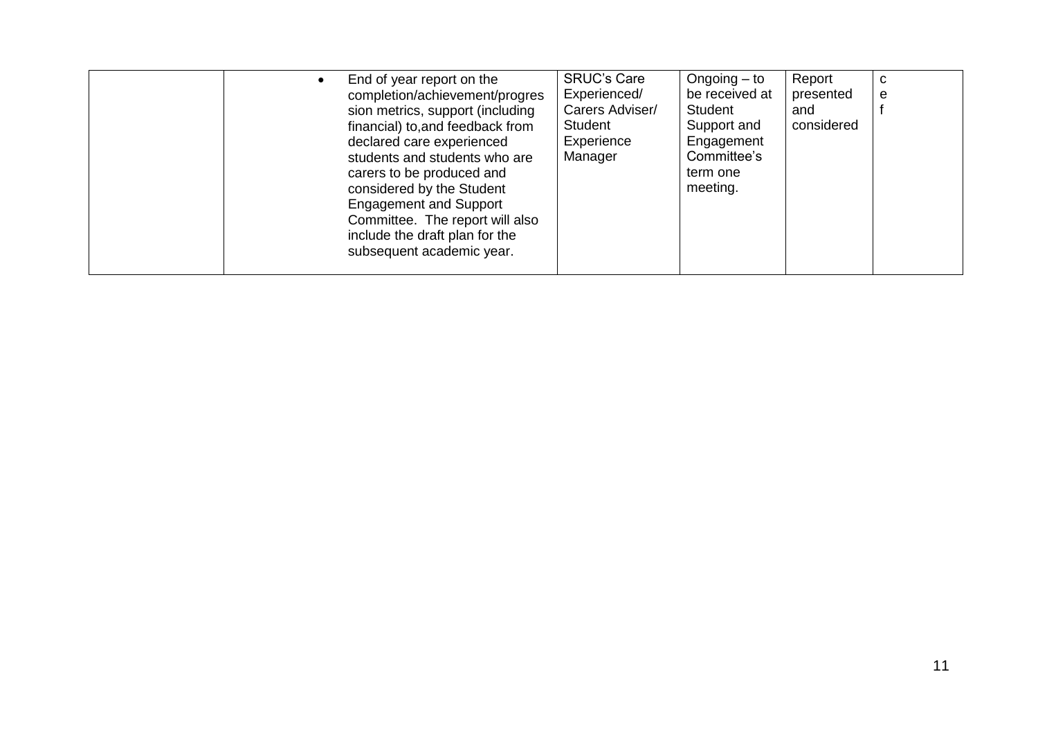|  | End of year report on the<br>completion/achievement/progres<br>sion metrics, support (including<br>financial) to, and feedback from<br>declared care experienced<br>students and students who are<br>carers to be produced and<br>considered by the Student<br><b>Engagement and Support</b><br>Committee. The report will also<br>include the draft plan for the<br>subsequent academic year. | <b>SRUC's Care</b><br>Experienced/<br>Carers Adviser/<br>Student<br>Experience<br>Manager | Ongoing $-$ to<br>be received at<br>Student<br>Support and<br>Engagement<br>Committee's<br>term one<br>meeting. | Report<br>presented<br>and<br>considered | С<br>e |
|--|------------------------------------------------------------------------------------------------------------------------------------------------------------------------------------------------------------------------------------------------------------------------------------------------------------------------------------------------------------------------------------------------|-------------------------------------------------------------------------------------------|-----------------------------------------------------------------------------------------------------------------|------------------------------------------|--------|
|--|------------------------------------------------------------------------------------------------------------------------------------------------------------------------------------------------------------------------------------------------------------------------------------------------------------------------------------------------------------------------------------------------|-------------------------------------------------------------------------------------------|-----------------------------------------------------------------------------------------------------------------|------------------------------------------|--------|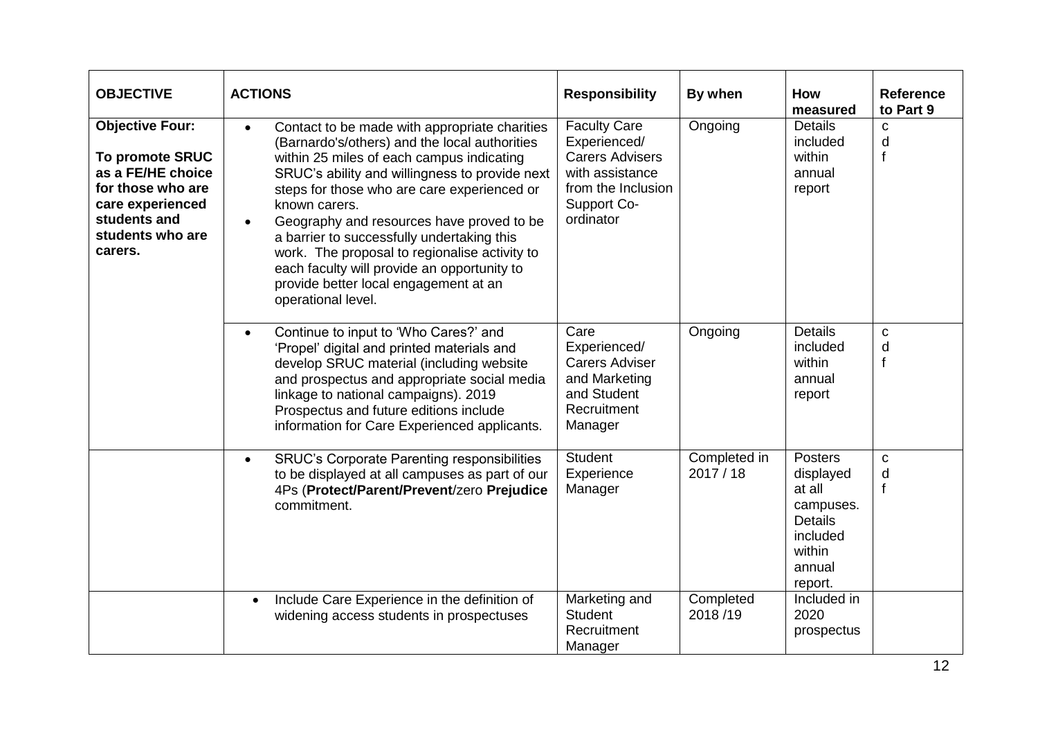| <b>OBJECTIVE</b>                                                                                                                                       | <b>ACTIONS</b>                                                                                                                                                                                                                                                                                                                                                                                                                                                                                                                       | <b>Responsibility</b>                                                                                                              | By when                 | <b>How</b><br>measured                                                                                   | <b>Reference</b><br>to Part 9 |
|--------------------------------------------------------------------------------------------------------------------------------------------------------|--------------------------------------------------------------------------------------------------------------------------------------------------------------------------------------------------------------------------------------------------------------------------------------------------------------------------------------------------------------------------------------------------------------------------------------------------------------------------------------------------------------------------------------|------------------------------------------------------------------------------------------------------------------------------------|-------------------------|----------------------------------------------------------------------------------------------------------|-------------------------------|
| <b>Objective Four:</b><br>To promote SRUC<br>as a FE/HE choice<br>for those who are<br>care experienced<br>students and<br>students who are<br>carers. | Contact to be made with appropriate charities<br>$\bullet$<br>(Barnardo's/others) and the local authorities<br>within 25 miles of each campus indicating<br>SRUC's ability and willingness to provide next<br>steps for those who are care experienced or<br>known carers.<br>Geography and resources have proved to be<br>a barrier to successfully undertaking this<br>work. The proposal to regionalise activity to<br>each faculty will provide an opportunity to<br>provide better local engagement at an<br>operational level. | <b>Faculty Care</b><br>Experienced/<br><b>Carers Advisers</b><br>with assistance<br>from the Inclusion<br>Support Co-<br>ordinator | Ongoing                 | <b>Details</b><br>included<br>within<br>annual<br>report                                                 | C<br>d<br>f                   |
|                                                                                                                                                        | Continue to input to 'Who Cares?' and<br>'Propel' digital and printed materials and<br>develop SRUC material (including website<br>and prospectus and appropriate social media<br>linkage to national campaigns). 2019<br>Prospectus and future editions include<br>information for Care Experienced applicants.                                                                                                                                                                                                                     | Care<br>Experienced/<br><b>Carers Adviser</b><br>and Marketing<br>and Student<br>Recruitment<br>Manager                            | Ongoing                 | <b>Details</b><br>included<br>within<br>annual<br>report                                                 | c<br>d<br>$\mathbf{f}$        |
|                                                                                                                                                        | <b>SRUC's Corporate Parenting responsibilities</b><br>$\bullet$<br>to be displayed at all campuses as part of our<br>4Ps (Protect/Parent/Prevent/zero Prejudice<br>commitment.                                                                                                                                                                                                                                                                                                                                                       | <b>Student</b><br>Experience<br>Manager                                                                                            | Completed in<br>2017/18 | Posters<br>displayed<br>at all<br>campuses.<br><b>Details</b><br>included<br>within<br>annual<br>report. | $\mathbf c$<br>d<br>f         |
|                                                                                                                                                        | Include Care Experience in the definition of<br>$\bullet$<br>widening access students in prospectuses                                                                                                                                                                                                                                                                                                                                                                                                                                | Marketing and<br><b>Student</b><br>Recruitment<br>Manager                                                                          | Completed<br>2018/19    | Included in<br>2020<br>prospectus                                                                        |                               |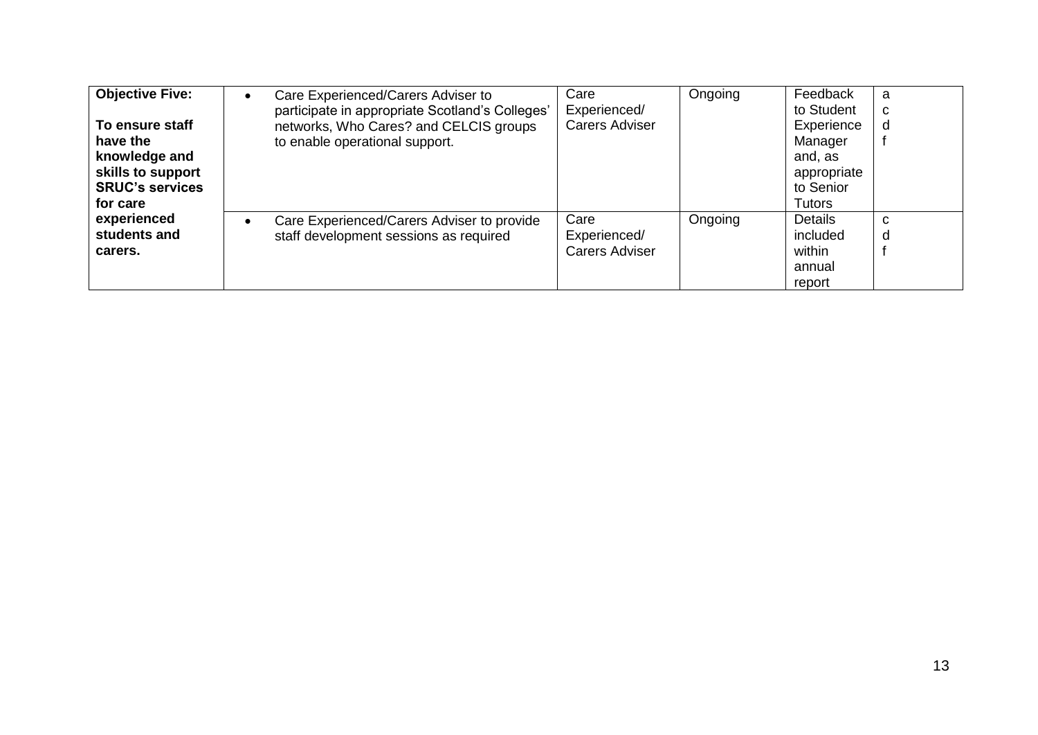| <b>Objective Five:</b><br>To ensure staff<br>have the<br>knowledge and<br>skills to support<br><b>SRUC's services</b><br>for care | Care Experienced/Carers Adviser to<br>$\bullet$<br>participate in appropriate Scotland's Colleges'<br>networks, Who Cares? and CELCIS groups<br>to enable operational support. | Care<br>Experienced/<br><b>Carers Adviser</b> | Ongoing | Feedback<br>to Student<br>Experience<br>Manager<br>and, as<br>appropriate<br>to Senior<br>Tutors | a<br>C<br>d |
|-----------------------------------------------------------------------------------------------------------------------------------|--------------------------------------------------------------------------------------------------------------------------------------------------------------------------------|-----------------------------------------------|---------|--------------------------------------------------------------------------------------------------|-------------|
| experienced<br>students and<br>carers.                                                                                            | Care Experienced/Carers Adviser to provide<br>$\bullet$<br>staff development sessions as required                                                                              | Care<br>Experienced/<br><b>Carers Adviser</b> | Ongoing | <b>Details</b><br>included<br>within<br>annual<br>report                                         | C<br>d      |